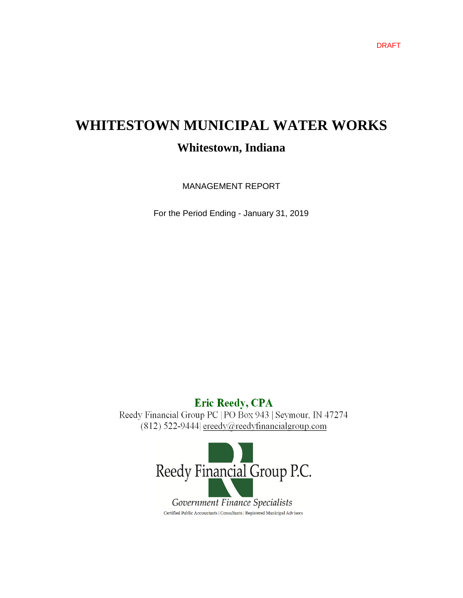# **WHITESTOWN MUNICIPAL WATER WORKS Whitestown, Indiana**

MANAGEMENT REPORT

For the Period Ending - January 31, 2019

## **Eric Reedy, CPA**

Reedy Financial Group PC | PO Box 943 | Seymour, IN 47274  $(812)$  522-9444 ereedy@reedyfinancialgroup.com

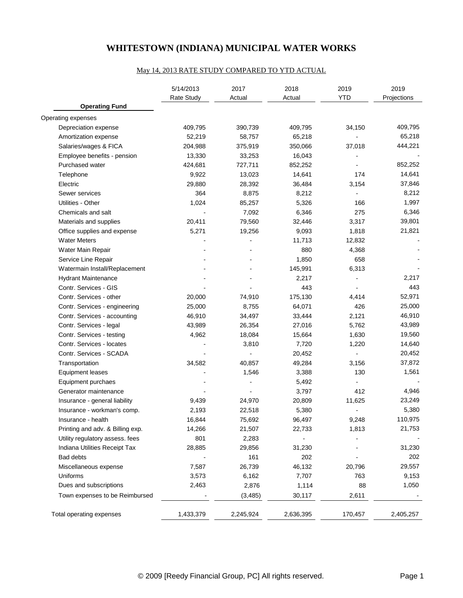## **WHITESTOWN (INDIANA) MUNICIPAL WATER WORKS**

#### May 14, 2013 RATE STUDY COMPARED TO YTD ACTUAL

|                                  | 5/14/2013<br>Rate Study | 2017<br>Actual | 2018<br>Actual | 2019<br><b>YTD</b> | 2019<br>Projections |  |
|----------------------------------|-------------------------|----------------|----------------|--------------------|---------------------|--|
| <b>Operating Fund</b>            |                         |                |                |                    |                     |  |
| Operating expenses               |                         |                |                |                    |                     |  |
| Depreciation expense             | 409,795                 | 390,739        | 409,795        | 34,150             | 409,795             |  |
| Amortization expense             | 52,219                  | 58,757         | 65,218         |                    | 65,218              |  |
| Salaries/wages & FICA            | 204,988                 | 375,919        | 350,066        | 37,018             | 444,221             |  |
| Employee benefits - pension      | 13,330                  | 33,253         | 16,043         |                    |                     |  |
| Purchased water                  | 424,681                 | 727,711        | 852,252        |                    | 852,252             |  |
| Telephone                        | 9,922                   | 13,023         | 14,641         | 174                | 14,641              |  |
| Electric                         | 29,880                  | 28,392         | 36,484         | 3,154              | 37,846              |  |
| Sewer services                   | 364                     | 8,875          | 8,212          | $\overline{a}$     | 8,212               |  |
| Utilities - Other                | 1,024                   | 85,257         | 5,326          | 166                | 1,997               |  |
| Chemicals and salt               |                         | 7,092          | 6,346          | 275                | 6,346               |  |
| Materials and supplies           | 20,411                  | 79,560         | 32,446         | 3,317              | 39,801              |  |
| Office supplies and expense      | 5,271                   | 19,256         | 9,093          | 1,818              | 21,821              |  |
| <b>Water Meters</b>              |                         |                | 11,713         | 12,832             |                     |  |
| Water Main Repair                |                         |                | 880            | 4,368              |                     |  |
| Service Line Repair              |                         |                | 1,850          | 658                |                     |  |
| Watermain Install/Replacement    |                         |                | 145,991        | 6,313              |                     |  |
| <b>Hydrant Maintenance</b>       |                         |                | 2,217          | $\blacksquare$     | 2,217               |  |
| Contr. Services - GIS            |                         |                | 443            |                    | 443                 |  |
| Contr. Services - other          | 20,000                  | 74,910         | 175,130        | 4,414              | 52,971              |  |
| Contr. Services - engineering    | 25,000                  | 8,755          | 64,071         | 426                | 25,000              |  |
| Contr. Services - accounting     | 46,910                  | 34,497         | 33,444         | 2,121              | 46,910              |  |
| Contr. Services - legal          | 43,989                  | 26,354         | 27,016         | 5,762              | 43,989              |  |
| Contr. Services - testing        | 4,962                   | 18,084         | 15,664         | 1,630              | 19,560              |  |
| Contr. Services - locates        |                         | 3,810          | 7,720          | 1,220              | 14,640              |  |
| Contr. Services - SCADA          |                         |                | 20,452         |                    | 20,452              |  |
| Transportation                   | 34,582                  | 40,857         | 49,284         | 3,156              | 37,872              |  |
| <b>Equipment leases</b>          |                         | 1,546          | 3,388          | 130                | 1,561               |  |
| Equipment purchaes               |                         |                | 5,492          |                    |                     |  |
| Generator maintenance            |                         |                | 3,797          | 412                | 4,946               |  |
| Insurance - general liability    | 9,439                   | 24,970         | 20,809         | 11,625             | 23,249              |  |
| Insurance - workman's comp.      | 2,193                   | 22,518         | 5,380          |                    | 5,380               |  |
| Insurance - health               | 16,844                  | 75,692         | 96,497         | 9,248              | 110,975             |  |
| Printing and adv. & Billing exp. | 14,266                  | 21,507         | 22,733         | 1,813              | 21,753              |  |
| Utility regulatory assess. fees  | 801                     | 2,283          |                |                    |                     |  |
| Indiana Utilities Receipt Tax    | 28,885                  | 29,856         | 31,230         |                    | 31,230              |  |
| Bad debts                        |                         | 161            | 202            |                    | 202                 |  |
| Miscellaneous expense            | 7,587                   | 26,739         | 46,132         | 20,796             | 29,557              |  |
| Uniforms                         | 3,573                   | 6,162          | 7,707          | 763                | 9,153               |  |
| Dues and subscriptions           | 2,463                   | 2,876          | 1,114          | 88                 | 1,050               |  |
| Town expenses to be Reimbursed   |                         | (3, 485)       | 30,117         | 2,611              |                     |  |
| Total operating expenses         | 1,433,379               | 2,245,924      | 2,636,395      | 170,457            | 2,405,257           |  |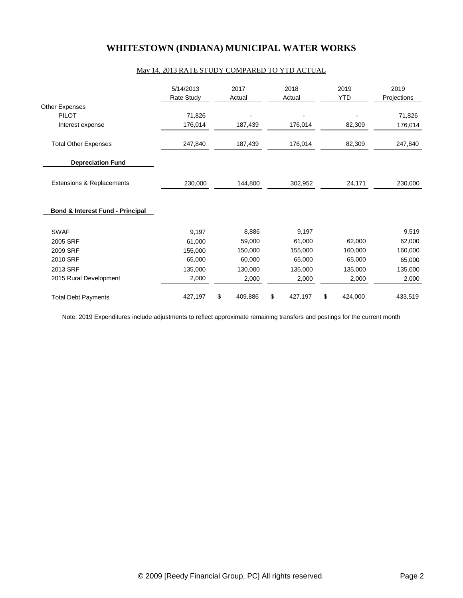## **WHITESTOWN (INDIANA) MUNICIPAL WATER WORKS**

#### May 14, 2013 RATE STUDY COMPARED TO YTD ACTUAL

|                                             | 5/14/2013<br><b>Rate Study</b> | 2017<br>Actual | 2018<br>Actual | 2019<br><b>YTD</b> | 2019<br>Projections |  |  |
|---------------------------------------------|--------------------------------|----------------|----------------|--------------------|---------------------|--|--|
| Other Expenses                              |                                |                |                |                    |                     |  |  |
| <b>PILOT</b>                                | 71,826                         |                |                |                    | 71,826              |  |  |
| Interest expense                            | 176,014                        | 187,439        | 176,014        | 82,309             | 176,014             |  |  |
| <b>Total Other Expenses</b>                 | 247,840                        | 187,439        | 176,014        | 82,309             | 247,840             |  |  |
| <b>Depreciation Fund</b>                    |                                |                |                |                    |                     |  |  |
| Extensions & Replacements                   | 230,000                        | 144,800        | 302,952        | 24,171             | 230,000             |  |  |
| <b>Bond &amp; Interest Fund - Principal</b> |                                |                |                |                    |                     |  |  |
| <b>SWAF</b>                                 | 9,197                          | 8,886          | 9,197          |                    | 9,519               |  |  |
| 2005 SRF                                    | 61,000                         | 59,000         | 61,000         | 62,000             | 62,000              |  |  |
| 2009 SRF                                    | 155,000                        | 150,000        | 155,000        | 160,000            | 160,000             |  |  |
| 2010 SRF                                    | 65,000                         | 60,000         | 65,000         | 65,000             | 65,000              |  |  |
| 2013 SRF                                    | 135,000                        | 130,000        | 135,000        | 135,000            | 135,000             |  |  |
| 2015 Rural Development                      | 2,000                          | 2,000          | 2,000          | 2,000              | 2,000               |  |  |
| <b>Total Debt Payments</b>                  | 427,197                        | \$<br>409,886  | \$<br>427,197  | \$<br>424,000      | 433,519             |  |  |

Note: 2019 Expenditures include adjustments to reflect approximate remaining transfers and postings for the current month